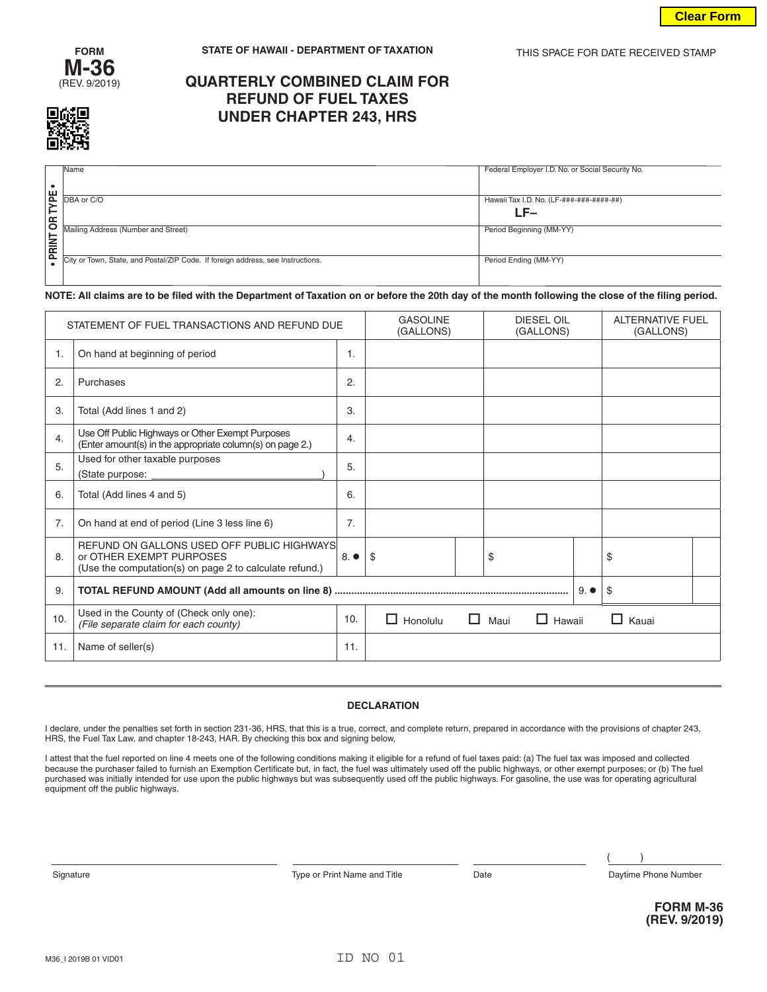



# **QUARTERLY COMBINED CLAIM FOR REFUND OF FUEL TAXES UNDER CHAPTER 243, HRS**

|            |             | <b>Name</b>                                                                     | Federal Employer I.D. No. or Social Security No. |
|------------|-------------|---------------------------------------------------------------------------------|--------------------------------------------------|
|            |             |                                                                                 |                                                  |
|            |             |                                                                                 |                                                  |
|            |             |                                                                                 |                                                  |
|            |             | $E$ DBA or C/O                                                                  |                                                  |
|            |             |                                                                                 | Hawaii Tax I.D. No. (LF-###-###-####-##)         |
|            | ⊢           |                                                                                 | LF–                                              |
| $\epsilon$ |             |                                                                                 |                                                  |
|            |             |                                                                                 |                                                  |
|            |             | Mailing Address (Number and Street)                                             | Period Beginning (MM-YY)                         |
|            |             |                                                                                 |                                                  |
|            | <b>RINT</b> |                                                                                 |                                                  |
|            | ௨           |                                                                                 |                                                  |
|            |             | City or Town, State, and Postal/ZIP Code. If foreign address, see Instructions. | Period Ending (MM-YY)                            |
|            |             |                                                                                 |                                                  |
|            |             |                                                                                 |                                                  |

### **NOTE: All claims are to be filed with the Department of Taxation on or before the 20th day of the month following the close of the filing period.**

| STATEMENT OF FUEL TRANSACTIONS AND REFUND DUE |                                                                                                                                   |                  | <b>GASOLINE</b><br>(GALLONS) |  | <b>DIESEL OIL</b><br>(GALLONS) |              | <b>ALTERNATIVE FUEL</b><br>(GALLONS) |  |
|-----------------------------------------------|-----------------------------------------------------------------------------------------------------------------------------------|------------------|------------------------------|--|--------------------------------|--------------|--------------------------------------|--|
| 1.                                            | On hand at beginning of period                                                                                                    | $\mathbf{1}$ .   |                              |  |                                |              |                                      |  |
| 2.                                            | Purchases                                                                                                                         | 2.               |                              |  |                                |              |                                      |  |
| 3.                                            | Total (Add lines 1 and 2)                                                                                                         | 3.               |                              |  |                                |              |                                      |  |
| 4.                                            | Use Off Public Highways or Other Exempt Purposes<br>(Enter amount(s) in the appropriate column(s) on page 2.)                     | $\overline{4}$ . |                              |  |                                |              |                                      |  |
| 5.                                            | Used for other taxable purposes<br>(State purpose:                                                                                | 5.               |                              |  |                                |              |                                      |  |
| 6.                                            | Total (Add lines 4 and 5)                                                                                                         | 6.               |                              |  |                                |              |                                      |  |
| 7.                                            | On hand at end of period (Line 3 less line 6)                                                                                     | 7.               |                              |  |                                |              |                                      |  |
| 8.                                            | REFUND ON GALLONS USED OFF PUBLIC HIGHWAYS<br>or OTHER EXEMPT PURPOSES<br>(Use the computation(s) on page 2 to calculate refund.) | $8.$ $\bullet$   | \$                           |  | \$                             |              | \$                                   |  |
| 9.                                            |                                                                                                                                   |                  |                              |  |                                | $9. \bullet$ | \$                                   |  |
| 10.                                           | Used in the County of (Check only one):<br>(File separate claim for each county)                                                  | 10.              | Honolulu<br>H                |  | $\Box$ Maui<br>$\Box$ Hawaii   |              | $\Box$ Kauai                         |  |
| 11.                                           | Name of seller(s)                                                                                                                 | 11.              |                              |  |                                |              |                                      |  |

#### **DECLARATION**

I declare, under the penalties set forth in section 231-36, HRS, that this is a true, correct, and complete return, prepared in accordance with the provisions of chapter 243, HRS, the Fuel Tax Law, and chapter 18-243, HAR. By checking this box and signing below,

I attest that the fuel reported on line 4 meets one of the following conditions making it eligible for a refund of fuel taxes paid: (a) The fuel tax was imposed and collected because the purchaser failed to furnish an Exemption Certificate but, in fact, the fuel was ultimately used off the public highways, or other exempt purposes; or (b) The fuel purchased was initially intended for use upon the public highways but was subsequently used off the public highways. For gasoline, the use was for operating agricultural equipment off the public highways.

Signature **Type or Print Name and Title** Date Date Daytime Phone Number